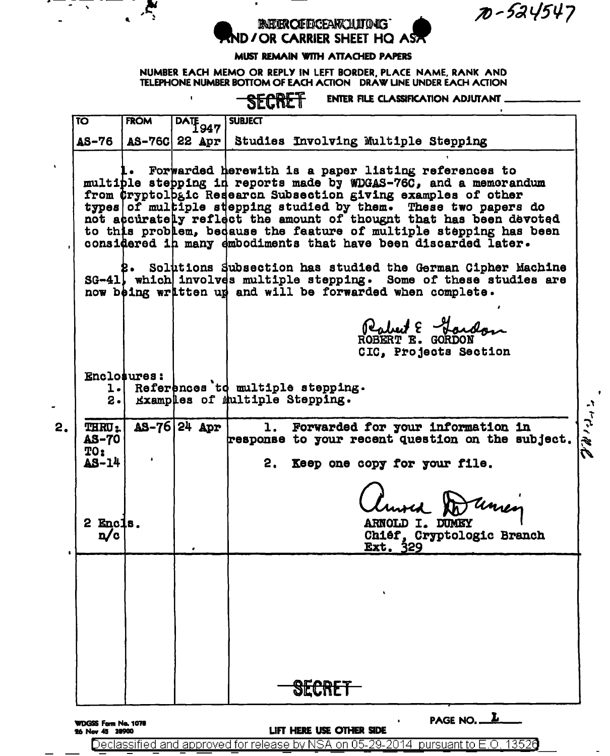$70 - 524547$ 

**INEUROIFIDCEARCLUTOMG** ND / OR CARRIER SHEET HO ASA

## MUST REMAIN WITH ATTACHED PAPERS

NUMBER EACH MEMO OR REPLY IN LEFT BORDER, PLACE NAME, RANK AND

| <b>TELEPHONE NUMBER BOTTOM OF EACH ACTION DRAW LINE UNDER EACH ACTION</b> |             |                              |                                                                                                                                                                                                                                                                                                                                                                                                                                                                                                                                                                                                                                                                                  |                      |  |  |
|---------------------------------------------------------------------------|-------------|------------------------------|----------------------------------------------------------------------------------------------------------------------------------------------------------------------------------------------------------------------------------------------------------------------------------------------------------------------------------------------------------------------------------------------------------------------------------------------------------------------------------------------------------------------------------------------------------------------------------------------------------------------------------------------------------------------------------|----------------------|--|--|
| SECRET<br>ENTER FILE CLASSIFICATION ADJUTANT                              |             |                              |                                                                                                                                                                                                                                                                                                                                                                                                                                                                                                                                                                                                                                                                                  |                      |  |  |
| $\overline{10}$                                                           | <b>FROM</b> | $\overline{\text{PATE}}$ 947 | <b>SUBJECT</b>                                                                                                                                                                                                                                                                                                                                                                                                                                                                                                                                                                                                                                                                   |                      |  |  |
|                                                                           |             |                              | AS-76   AS-76C 22 Apr   Studies Involving Multiple Stepping                                                                                                                                                                                                                                                                                                                                                                                                                                                                                                                                                                                                                      |                      |  |  |
|                                                                           |             |                              | L. Forwarded herewith is a paper listing references to<br>multiple stepping in reports made by WDGAS-76C, and a memorandum<br>from Cryptolbgic Redearch Subsection giving examples of other<br>types of multiple stepping studied by them. These two papers do<br>not accurately reflect the amount of thought that has been devoted<br>to this problem, bedause the faature of multiple stepping has been<br>considered in many embodiments that have been discarded later.<br>2. Solutions Subsection has studied the German Cipher Machine<br>SG-41, which involves multiple stepping. Some of these studies are<br>now being written up and will be forwarded when complete. |                      |  |  |
|                                                                           |             |                              | Rabel E Landon<br>CIC, Projects Section                                                                                                                                                                                                                                                                                                                                                                                                                                                                                                                                                                                                                                          |                      |  |  |
| $2 \cdot 1$                                                               | Enclosures: |                              | 1. References to multiple stepping.<br>Examples of multiple Stepping.                                                                                                                                                                                                                                                                                                                                                                                                                                                                                                                                                                                                            | ر درد <i>د الأبل</i> |  |  |
| <b>THRU</b> :<br><b>AS-70</b>                                             |             | $AS-76 24$ Apr               | 1. Forwarded for your information in<br>response to your recent question on the subject.                                                                                                                                                                                                                                                                                                                                                                                                                                                                                                                                                                                         |                      |  |  |
| TO:                                                                       |             |                              |                                                                                                                                                                                                                                                                                                                                                                                                                                                                                                                                                                                                                                                                                  |                      |  |  |
| AS-14                                                                     |             |                              | 2. Keep one copy for your file.                                                                                                                                                                                                                                                                                                                                                                                                                                                                                                                                                                                                                                                  |                      |  |  |
| n/c                                                                       |             |                              | luvra Duney<br>Chiéf, Cryptologic Branch<br><b>Ext. 329</b>                                                                                                                                                                                                                                                                                                                                                                                                                                                                                                                                                                                                                      |                      |  |  |
|                                                                           |             |                              |                                                                                                                                                                                                                                                                                                                                                                                                                                                                                                                                                                                                                                                                                  |                      |  |  |
|                                                                           |             |                              |                                                                                                                                                                                                                                                                                                                                                                                                                                                                                                                                                                                                                                                                                  |                      |  |  |
|                                                                           |             |                              | SECRET                                                                                                                                                                                                                                                                                                                                                                                                                                                                                                                                                                                                                                                                           |                      |  |  |

WDGSS Form No. 1078<br>26 Nov 45 38900

LIFT HERE USE OTHER SIDE

L PAGE NO..

Declassified and approved for release by NSA on 05-29-2014 pursuant to E.O. 13526

2.

بع<br>ڊ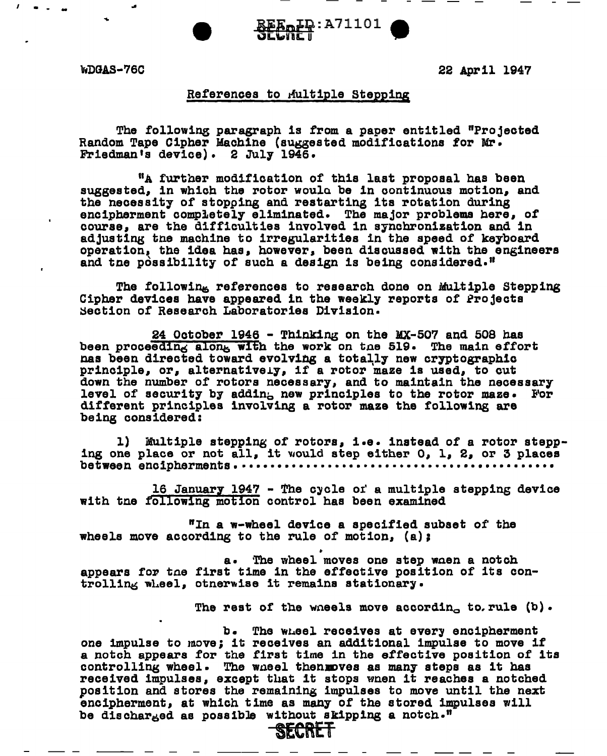WDGAS-76C

. - ..

22 Apr 11 1947

## References to Multiple Stepping

The following paragraph is from a paper entitled "Projected Random Tape Cipher Machine (suggested modifications for Mr. Friedman's device). 2 July 1946.

 $\mathbf{E}_{\mathbf{R}}$ in : A $71101$ 

"A further modification of this last proposal has been suggested, in which the rotor would be in continuous motion, and the necessity of stopping and restarting its rotation during encipherment completely eliminated. The major problems here, of course, are the difficulties involved in synchronization and in adjusting the machine to irregularities in the speed of keyboard operation, the idea has, however, been discussed with the engineers and tne possibility of such a design is being considered."

The followin<sub>g</sub> references to research done on Multiple Stepping<br>Cipher devices have appeared in the weekly reports of Projects Section of Research Laboratories Division.

24 October 1946 - Thinking on the MX-507 and 508 has been proceeding along with the work on the 519. The main effort nas been directed toward evolving a totally new cryptographic principle, or, alternatively, if a rotor maze is used, to cut down the number of rotors necessary, and to maintain the necessary down the number of rotors necessary, and to maintain the necessary level of security by addin<sub>0</sub> new principles to the rotor maze. For different principles involving a rotor maze the following are being considered:

l) Multiple stepping of rotors, i.e. instead of a rotor stepp-<br>ing one place or not all, it would step either O, l, 2, or 3 places between encipherments. • • • • • • • • • • • • • • • • • • • • • • • • • • • • • • • • • • • • • • • • • • • •

16 January 1947 - The cycle or' a multiple stepping device with tne following motion control has been examined

"In a  $w$ -wheel device a specified subset of the wheels move according to the rule of motion, (a);

a. The wheel moves one step waen a notch appears for the first time in the effective position of its controlling wheel, otnerwise it remains stationary.

The rest of the wheels move according to. rule (b).

b. The wheel receives at every encipherment one impulse to move; it receives an additional impulse to move if a notch appears for the first time in the effective position of its a hotch appears for the first time in the effective position of<br>controlling wheel. The wheel then moves as many steps as it has received impulses, except that it stops wnen it reaches a notched position and stores the remaining impulses to move until the next encipherment, at which time as many of the stored impulses will be discharged as possible without skipping a notch."

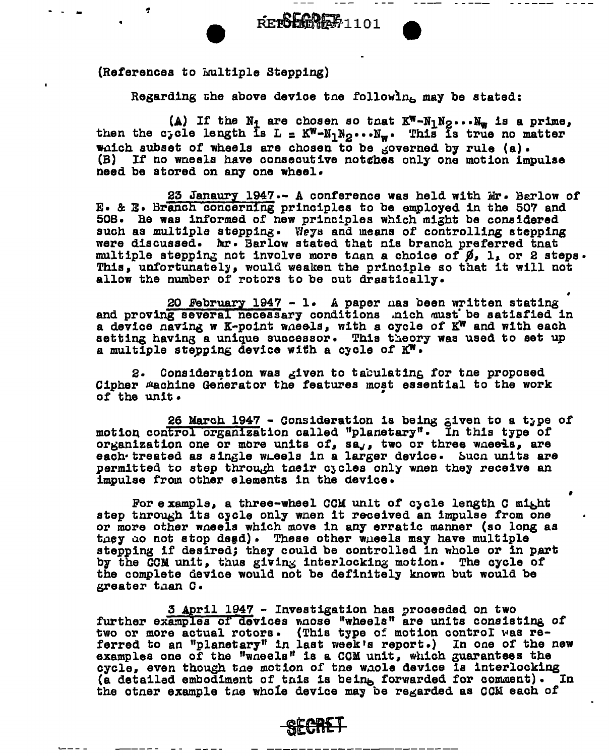## **REPORTED:** 1101

(References to Multiple Stepping)

Regarding the above device the following may be stated:

(A) If the  $N_f$  are chosen so that  $K^m-N_1N_2...N_m$  is a prime, then the cycle length is  $L = K^w - N_1 N_2 \cdots N_w$ . This is true no matter which subset of wheels are chosen to be governed by rule (a). (B) If no wheels have consecutive notches only one motion impulse need be stored on any one wheel.

23 Janaury 1947.- A conference was held with Mr. Barlow of E. & E. Branch concerning principles to be employed in the 507 and 508. He was informed of new principles which might be considered such as multiple stepping. Weys and means of controlling stepping were discussed. Mr. Barlow stated that nis branch preferred that multiple stepping not involve more than a choice of  $\beta$ , 1, or 2 steps. This, unfortunately, would weaken the principle so that it will not allow the number of rotors to be cut drastically.

20 February 1947 - 1. A paper mas been written stating and proving several necessary conditions .nich must be satisfied in a device naving w K-point wheels, with a cycle of K<sup>w</sup> and with each setting having a unique successor. This theory was used to set up a multiple stepping device with a cycle of KW.

2. Consideration was given to tabulating for the proposed Cipher Machine Generator the features most essential to the work of the unit.

26 March 1947 - Consideration is being aiven to a type of motion control organization called "planetary". In this type of organization one or more units of, sa,, two or three wheels, are each treated as single wheels in a larger device. Such units are permitted to step through their cycles only when they receive an impulse from other elements in the device.

For example, a three-wheel CCM unit of cycle length C might step through its cycle only when it received an impulse from one or more other wheels which move in any erratic manner (so long as they ao not stop dead). These other wheels may have multiple stepping if desired; they could be controlled in whole or in part by the CCM unit, thus giving interlocking motion. The cycle of the complete device would not be definitely known but would be greater than C.

3 April 1947 - Investigation has proceeded on two<br>further examples of devices whose "wheels" are units consisting of two or more actual rotors. (This type of motion control was re-<br>ferred to an "planetary" in last week's report.) In one of the new<br>examples one of the "wheels" is a CCM unit, which guarantees the cycle, even though the motion of the whole device is interlocking (a detailed embodiment of this is being forwarded for comment). In the other example the whole device may be regarded as CCM each of

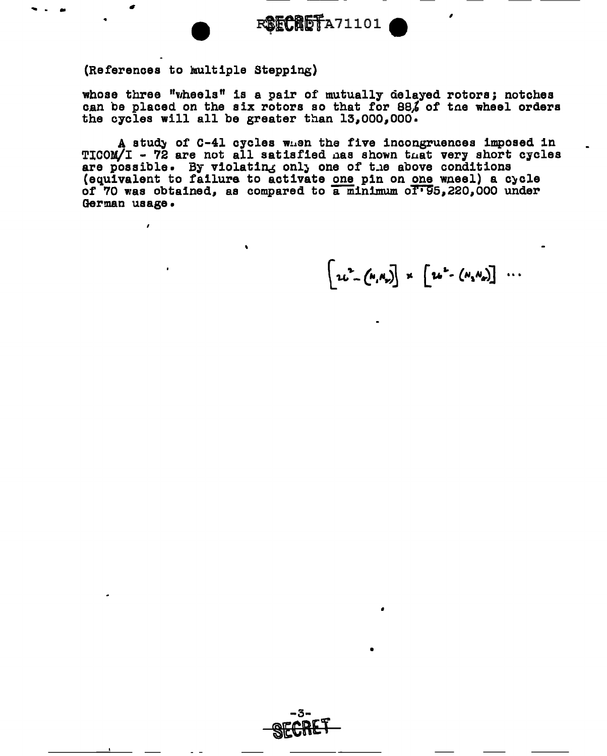**RSECRETA71101** 

(References to hultiple Stepping)

whose three "wheels" is a pair of mutually delayed rotors; notches can be placed on the six rotors so that for 88% of the wheel orders the cycles will all be greater than 13,000,000.

A study of C-41 cycles when the five incongruences imposed in TICOM/I - 72 are not all satisfied has shown that very short cycles are possible. By violating only one of the above conditions (equivalent to failure to activate one pin on one wheel) a cycle of 70 was obtained, as compared to a minimum of 55,220,000 under German usage.

 $\left\{ u^2 - (u, u) \right\}$  x  $\left[ u^2 - (u, u) \right]$  ...

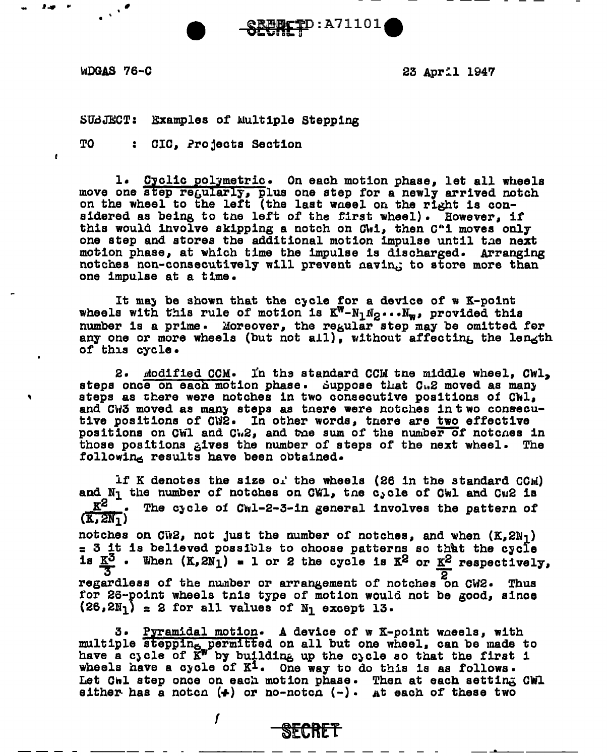..... •

 $WDGAS$  76-C 23 April 1947

SUdJECT: Examples of Multiple Stepping

TO : CIC, Projects Section

1. Cyclic polymetric. On each motion phase, let all wheels move one step regularly, plus one step for a newly arrived notch on the wheel to the left (the last wheel on the right is considered as being to tne left of the tirst wheel). However, if this would involve skipping a notch on Chi, then C"i moves only one step and stores the additional motion impulse until the next<br>motion phase, at which time the impulse is discharged. Arranging motches non-consecutively will prevent aaving to store more than one impulse at a time.

**FFFP: A71101** 

It may be shown that the cycle for a device of w K-point wheels with this rule of motion is  $K^{\overline{w}}-N_1N_2\cdots N_{\overline{w}}$ , provided this number is a prime. Moreover, the regular step may be omitted fer any one or more wheels (but not all), without affecting the length of this cycle.

2. *Modified CCM*. In the standard CCM tne middle wheel, CWl, steps once on each motion phase. Suppose that C.2 moved as many steps as there were notches in two consecutive positions of CWl, and CW3 moved as many steps as tnere were notches in two consecutive positions of CW2. In other words, there are two effective positions on CW1 and CW2, and the sum of the number of notches in those positions gives the number of steps of the next wheel. The following results have been obtained.

lf K denotes the size ol the wheels (26 in the standard  $CCH$ ) and N<sub>1</sub> the number of notches on CW1, the c, cle of CW1 and Cu2 is<br> $K^2$  . The cycle of CW1-2-3-in seneral involves the pettern of The cycle of Cw1-2-3-in general involves the pattern of  $(K, 2N_1)$ notches on  $\overline{C}W2$ , not just the number of notches, and when  $(K, 2N_1)$  $=$  3 it is believed possible to choose patterns so that the cycle is  $\underline{\mathbf{K}}^3$  • When  $(\mathbf{K}, 2\mathbf{N}_1)$  = 1 or 2 the cycle is  $\underline{\mathbf{K}}^2$  or  $\underline{\mathbf{K}}^2$  respectively,<br>regardless of the number or arrangement of notches on CW2• Thus for 26-point wheels tnis type of motion would not be good, since  $(26, 2N_1)$  = 2 for all values of  $N_1$  except 13.

3. Piiamidal motion. A device of w X-point waeels, with multiple steppin<sub>6</sub> permitted on all but one wheel, can be made to have a cycle of Kw by building up the cycle so that the first i wheels have a cycle of K<sup>i</sup>. One way to do this is as follows. Let Cnl step once on each motion phase. Then at each setting CWl either has a notcn  $(+)$  or no-notcn  $(-)$ . At each of these two

 $I = \text{SECRET}$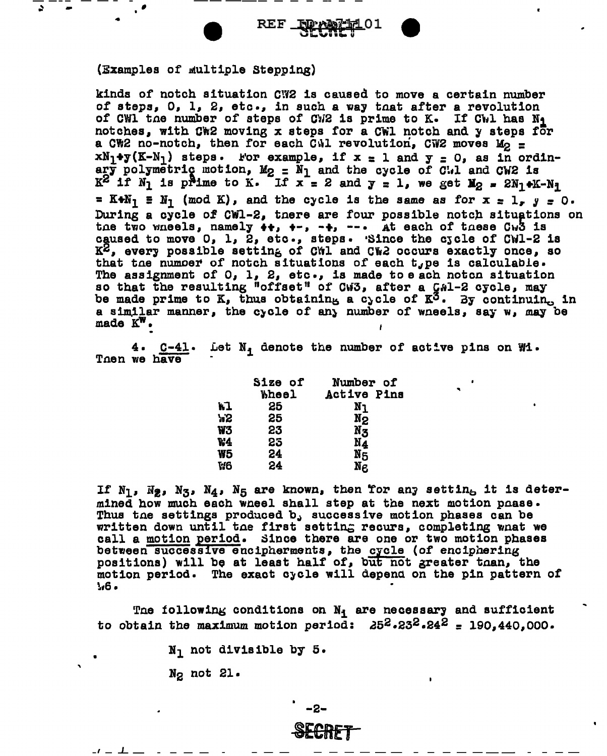REF \_N

## (Examples of multiple Stepping)

kinds of notch situation CW2 is caused to move a certain number of steps, 0, 1, 2, etc., in such a way that after a revolution of CW1 the number of steps of CW2 is prime to K. If CW1 has N<sub>1</sub> notches, with CW2 moving x steps for a CW1 notch and y steps for a CW2 no-notch, then for each Cul revolution, CW2 moves  $M_{\odot}$  =  $xN_1+y(K-N_1)$  steps. For example, if  $x = 1$  and  $y = 0$ , as in ordinary polymetric motion,  $M_2 = M_1$  and the cycle of C.1 and CW2 is  $K^2$  if  $N_1$  is prime to  $K$ . If  $x = 2$  and  $y = 1$ , we get  $M_2 = 2N_1 + K - N_1$ =  $K+N_1$  =  $N_1$  (mod K), and the cycle is the same as for  $x = 1$ ,  $y = 0$ . During a cycle of CW1-2, tnere are four possible notch situations on the two wheels, namely ++, +-, -+, --. At each of these Cw3 is caused to move 0, 1, 2, etc., steps. Since the cycle of CW1-2 is K<sup>2</sup>, every possible setting of CW1 and CW2 occurs exactly once, so that the number of notch situations of each t, pe is calculable. The assignment of  $0$ ,  $1$ ,  $2$ , etc., is made to each noton situation so that the resulting "offset" of CW3, after a Gwl-2 cycle, may be made prime to K, thus obtaining a cycle of  $K^3$ . By continuing in a similar manner, the cycle of any number of wheels, say w, may be made  $K^W$ .

4.  $C-41$ . Let  $N_1$  denote the number of active pins on Wi. Then we have

|    | Size of      | Number of                 |  |
|----|--------------|---------------------------|--|
|    | <b>Wheel</b> | Active Pins               |  |
| አጔ | 25           | Nη                        |  |
| Ή2 | 25           | $N_{2}$                   |  |
| W3 | 23           | $\mathbf{N}_{\mathbf{Z}}$ |  |
| ۷4 | 25           | N4                        |  |
| W5 | 24           | $N_{5}$                   |  |
| W6 | 24           | Ne.                       |  |

If  $N_1$ ,  $N_2$ ,  $N_3$ ,  $N_4$ ,  $N_5$  are known, then for any settin<sub>b</sub> it is determined how much each wheel shall step at the next motion phase. Thus the settings produced b, successive motion phases can be written down until the first setting recurs, completing what we call a motion period. Since there are one or two motion phases between successive encipherments, the cycle (of enciphering positions) will be at least half of, but not greater than, the motion period. The exact cycle will depend on the pin pattern of **Мб.** 

The following conditions on  $N_i$  are necessary and sufficient to obtain the maximum motion period:  $25^2.23^2.24^2 = 190.440.000$ .

-2-

N<sub>1</sub> not divisible by 5.

 $N<sub>2</sub>$  not 21.